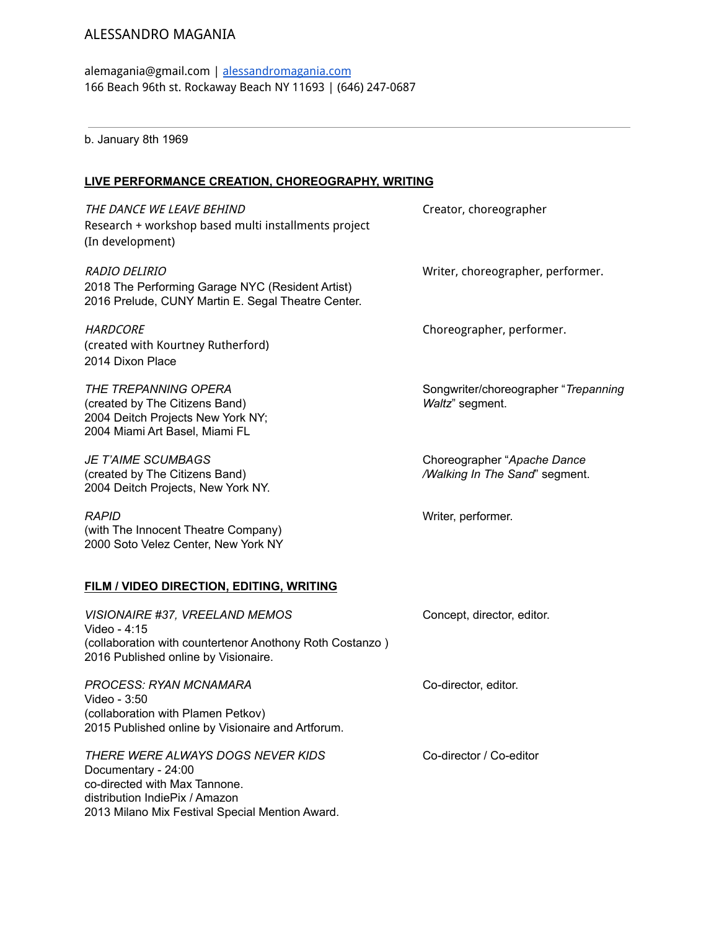# ALESSANDRO MAGANIA

alemagania@gmail.com | [alessandromagania.com](https://www.alessandromagania.com/) 166 Beach 96th st. Rockaway Beach NY 11693 | (646) 247-0687

b. January 8th 1969

#### **LIVE PERFORMANCE CREATION, CHOREOGRAPHY, WRITING**

THE DANCE WE LEAVE BEHIND **CONCERT CONCERT CONCERT** Creator, choreographer Research + workshop based multi installments project (In development)

RADIO DELIRIO **NADIO DELIRIO** Writer, choreographer, performer. 2018 The Performing Garage NYC (Resident Artist) 2016 Prelude, CUNY Martin E. Segal Theatre Center.

HARDCORE Choreographer, performer. (created with Kourtney Rutherford) 2014 Dixon Place

(created by The Citizens Band) *Waltz*" segment. 2004 Deitch Projects New York NY; 2004 Miami Art Basel, Miami FL

(created by The Citizens Band) */Walking In The Sand*" segment. 2004 Deitch Projects, New York NY.

*RAPID* Writer, performer. (with The Innocent Theatre Company) 2000 Soto Velez Center, New York NY

#### **FILM / VIDEO DIRECTION, EDITING, WRITING**

*VISIONAIRE #37, VREELAND MEMOS* Concept, director, editor. Video - 4:15 (collaboration with countertenor Anothony Roth Costanzo ) 2016 Published online by Visionaire.

**PROCESS: RYAN MCNAMARA** CO-director, editor. Video - 3:50 (collaboration with Plamen Petkov) 2015 Published online by Visionaire and Artforum.

*THERE WERE ALWAYS DOGS NEVER KIDS* Co-director / Co-editor Documentary - 24:00 co-directed with Max Tannone. distribution IndiePix / Amazon 2013 Milano Mix Festival Special Mention Award.

*THE TREPANNING OPERA* Songwriter/choreographer "*Trepanning*

*JE T'AIME SCUMBAGS* Choreographer "*Apache Dance*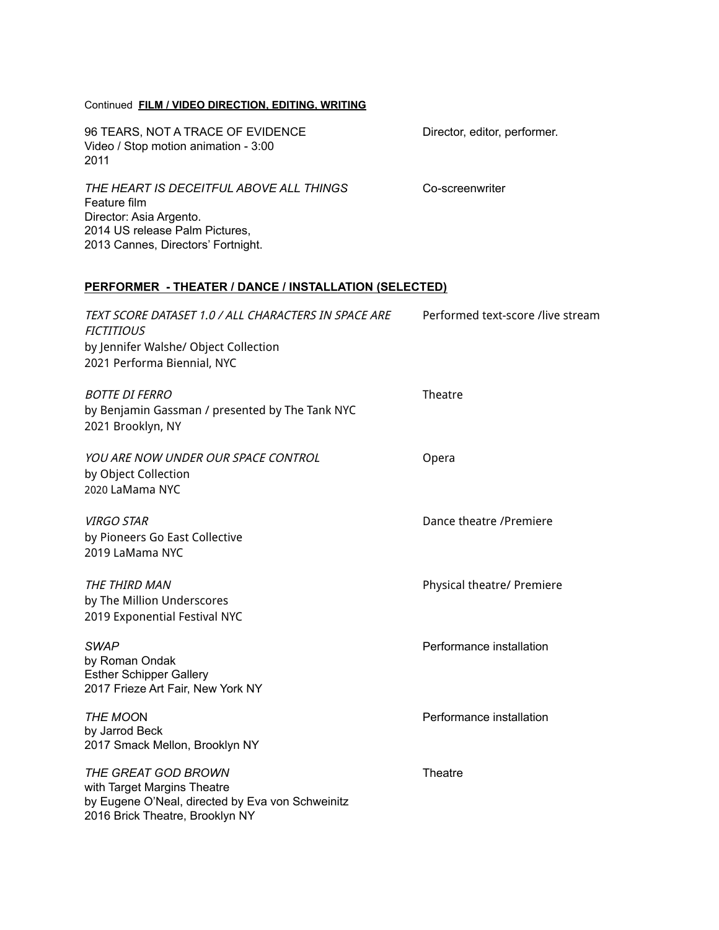#### Continued **FILM / VIDEO DIRECTION, EDITING, WRITING**

96 TEARS, NOT A TRACE OF EVIDENCE Director, editor, performer. Video / Stop motion animation - 3:00 2011

*THE HEART IS DECEITFUL ABOVE ALL THINGS* Co-screenwriter Feature film Director: Asia Argento. 2014 US release Palm Pictures, 2013 Cannes, Directors' Fortnight.

## **PERFORMER - THEATER / DANCE / INSTALLATION (SELECTED)**

| TEXT SCORE DATASET 1.0 / ALL CHARACTERS IN SPACE ARE<br><b>FICTITIOUS</b><br>by Jennifer Walshe/ Object Collection<br>2021 Performa Biennial, NYC | Performed text-score /live stream |
|---------------------------------------------------------------------------------------------------------------------------------------------------|-----------------------------------|
| <b>BOTTE DI FERRO</b><br>by Benjamin Gassman / presented by The Tank NYC<br>2021 Brooklyn, NY                                                     | Theatre                           |
| YOU ARE NOW UNDER OUR SPACE CONTROL<br>by Object Collection<br>2020 LaMama NYC                                                                    | Opera                             |
| <b>VIRGO STAR</b><br>by Pioneers Go East Collective<br>2019 LaMama NYC                                                                            | Dance theatre /Premiere           |
| THE THIRD MAN<br>by The Million Underscores<br>2019 Exponential Festival NYC                                                                      | Physical theatre/ Premiere        |
| <b>SWAP</b><br>by Roman Ondak<br><b>Esther Schipper Gallery</b><br>2017 Frieze Art Fair, New York NY                                              | Performance installation          |
| THE MOON<br>by Jarrod Beck<br>2017 Smack Mellon, Brooklyn NY                                                                                      | Performance installation          |
| THE GREAT GOD BROWN<br>with Target Margins Theatre<br>by Eugene O'Neal, directed by Eva von Schweinitz<br>2016 Brick Theatre, Brooklyn NY         | Theatre                           |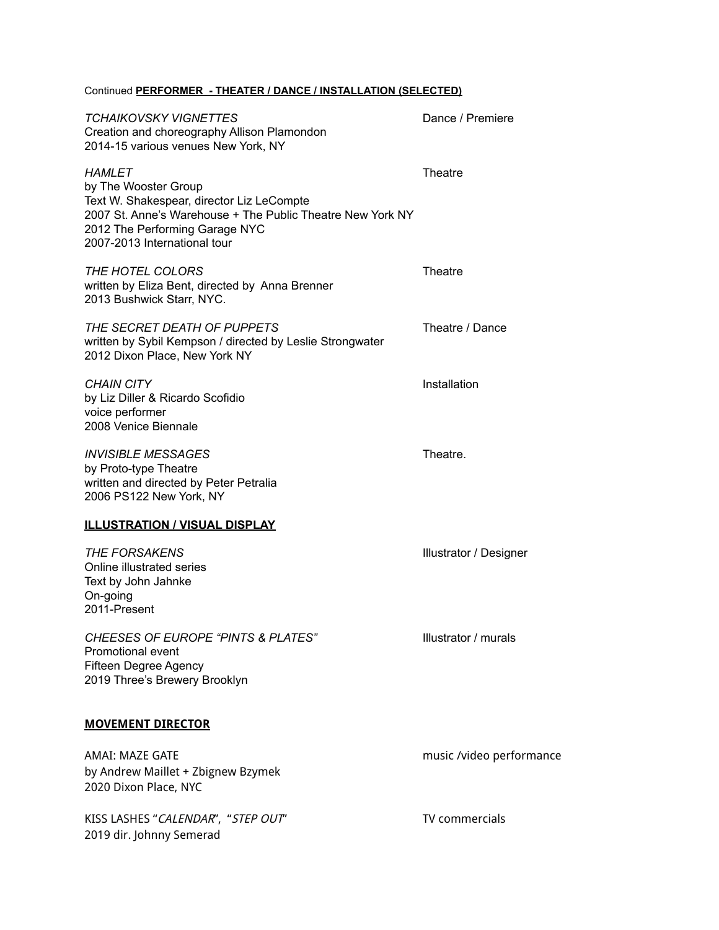## Continued **PERFORMER - THEATER / DANCE / INSTALLATION (SELECTED)**

| <b>TCHAIKOVSKY VIGNETTES</b><br>Creation and choreography Allison Plamondon<br>2014-15 various venues New York, NY                                                                                          | Dance / Premiere         |
|-------------------------------------------------------------------------------------------------------------------------------------------------------------------------------------------------------------|--------------------------|
| HAMLET<br>by The Wooster Group<br>Text W. Shakespear, director Liz LeCompte<br>2007 St. Anne's Warehouse + The Public Theatre New York NY<br>2012 The Performing Garage NYC<br>2007-2013 International tour | Theatre                  |
| THE HOTEL COLORS<br>written by Eliza Bent, directed by Anna Brenner<br>2013 Bushwick Starr, NYC.                                                                                                            | Theatre                  |
| THE SECRET DEATH OF PUPPETS<br>written by Sybil Kempson / directed by Leslie Strongwater<br>2012 Dixon Place, New York NY                                                                                   | Theatre / Dance          |
| <b>CHAIN CITY</b><br>by Liz Diller & Ricardo Scofidio<br>voice performer<br>2008 Venice Biennale                                                                                                            | Installation             |
| <b>INVISIBLE MESSAGES</b><br>by Proto-type Theatre<br>written and directed by Peter Petralia<br>2006 PS122 New York, NY                                                                                     | Theatre.                 |
| <b>ILLUSTRATION / VISUAL DISPLAY</b>                                                                                                                                                                        |                          |
| <b>THE FORSAKENS</b><br>Online illustrated series<br>Text by John Jahnke<br>On-going<br>2011-Present                                                                                                        | Illustrator / Designer   |
| <b>CHEESES OF EUROPE "PINTS &amp; PLATES"</b><br><b>Promotional event</b><br>Fifteen Degree Agency<br>2019 Three's Brewery Brooklyn                                                                         | Illustrator / murals     |
| <b>MOVEMENT DIRECTOR</b>                                                                                                                                                                                    |                          |
| AMAI: MAZE GATE<br>by Andrew Maillet + Zbignew Bzymek<br>2020 Dixon Place, NYC                                                                                                                              | music /video performance |
| KISS LASHES "CALENDAR", "STEP OUT"                                                                                                                                                                          | TV commercials           |

2019 dir. Johnny Semerad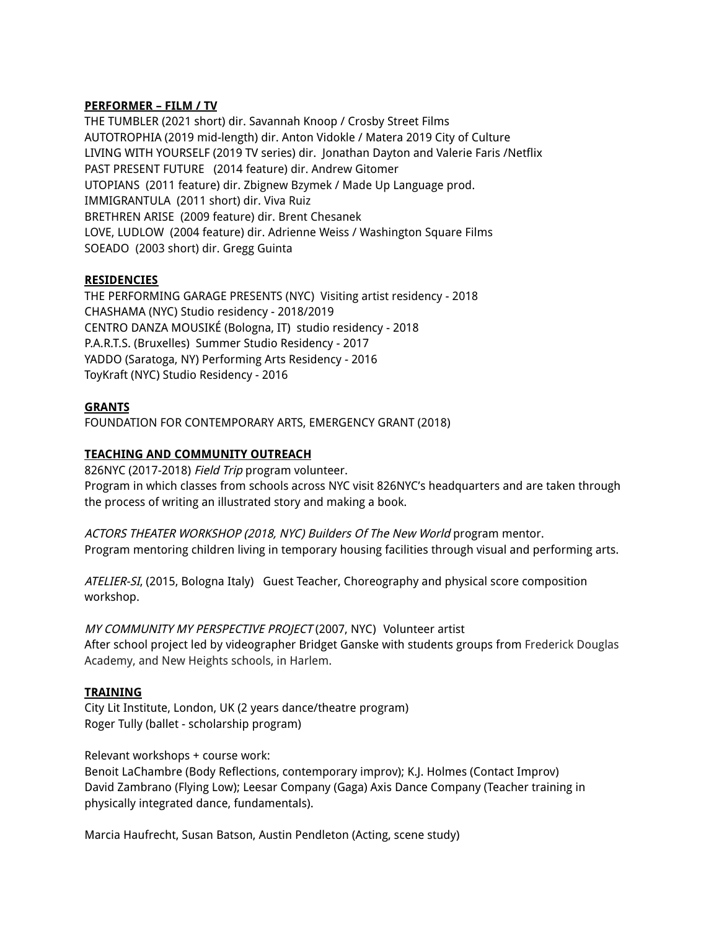### **PERFORMER – FILM / TV**

THE TUMBLER (2021 short) dir. Savannah Knoop / Crosby Street Films AUTOTROPHIA (2019 mid-length) dir. Anton Vidokle / Matera 2019 City of Culture LIVING WITH YOURSELF (2019 TV series) dir. Jonathan Dayton and Valerie Faris /Netflix PAST PRESENT FUTURE (2014 feature) dir. Andrew Gitomer UTOPIANS (2011 feature) dir. Zbignew Bzymek / Made Up Language prod. IMMIGRANTULA (2011 short) dir. Viva Ruiz BRETHREN ARISE (2009 feature) dir. Brent Chesanek LOVE, LUDLOW (2004 feature) dir. Adrienne Weiss / Washington Square Films SOEADO (2003 short) dir. Gregg Guinta

## **RESIDENCIES**

THE PERFORMING GARAGE PRESENTS (NYC) Visiting artist residency - 2018 CHASHAMA (NYC) Studio residency - 2018/2019 CENTRO DANZA MOUSIKÉ (Bologna, IT) studio residency - 2018 P.A.R.T.S. (Bruxelles) Summer Studio Residency - 2017 YADDO (Saratoga, NY) Performing Arts Residency - 2016 ToyKraft (NYC) Studio Residency - 2016

## **GRANTS**

FOUNDATION FOR CONTEMPORARY ARTS, EMERGENCY GRANT (2018)

## **TEACHING AND COMMUNITY OUTREACH**

826NYC (2017-2018) Field Trip program volunteer. Program in which classes from schools across NYC visit 826NYC's headquarters and are taken through the process of writing an illustrated story and making a book.

ACTORS THEATER WORKSHOP (2018, NYC) Builders Of The New World program mentor. Program mentoring children living in temporary housing facilities through visual and performing arts.

ATELIER-SI, (2015, Bologna Italy) Guest Teacher, Choreography and physical score composition workshop.

MY COMMUNITY MY PERSPECTIVE PROJECT (2007, NYC) Volunteer artist After school project led by videographer Bridget Ganske with students groups from Frederick Douglas Academy, and New Heights schools, in Harlem.

#### **TRAINING**

City Lit Institute, London, UK (2 years dance/theatre program) Roger Tully (ballet - scholarship program)

Relevant workshops + course work:

Benoit LaChambre (Body Reflections, contemporary improv); K.J. Holmes (Contact Improv) David Zambrano (Flying Low); Leesar Company (Gaga) Axis Dance Company (Teacher training in physically integrated dance, fundamentals).

Marcia Haufrecht, Susan Batson, Austin Pendleton (Acting, scene study)